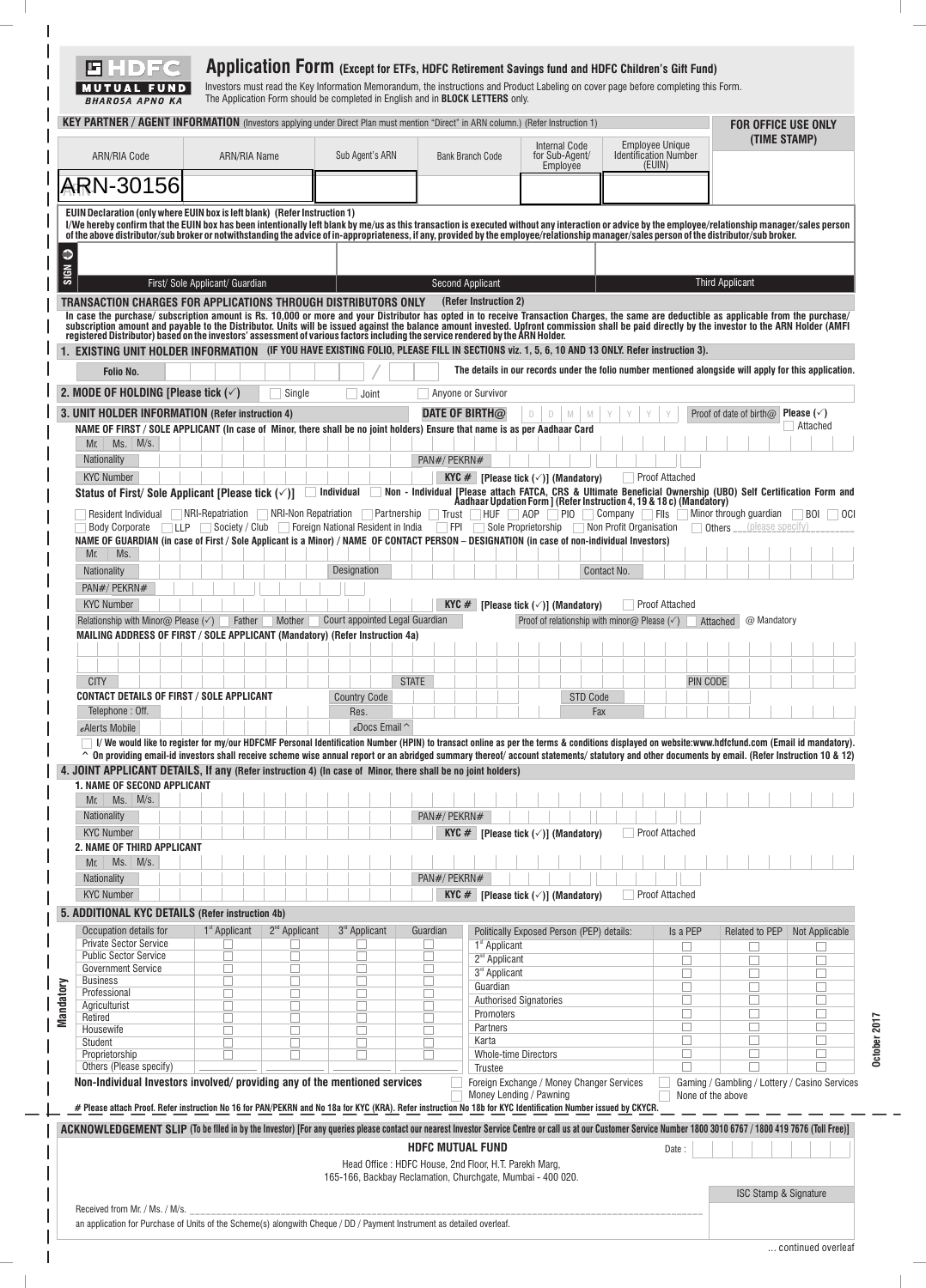

 $\overline{\phantom{a}}$ 

 $\,$   $\,$  $\overline{\phantom{a}}$ 

 $\overline{\phantom{a}}$ 

 $\overline{\phantom{a}}$  $\overline{1}$ 

 $\sim$  1

## **Application Form (Except for ETFs, HDFC Retirement Savings fund and HDFC Children's Gift Fund)**

Investors must read the Key Information Memorandum, the instructions and Product Labeling on cover page before completing this Form. The Application Form should be completed in English and in **BLOCK LETTERS** only.

| KEY PARTNER / AGENT INFORMATION (Investors applying under Direct Plan must mention "Direct" in ARN column.) (Refer Instruction 1)                                                                                                                                                                                                                                                                                                                                                                    |                                 |                    |                             |                                                             |                                           |                                                                                                                    |                                                                                                                                                                                                                                                                                                                                                                                                        | <b>FOR OFFICE USE ONLY</b>                                         |                |
|------------------------------------------------------------------------------------------------------------------------------------------------------------------------------------------------------------------------------------------------------------------------------------------------------------------------------------------------------------------------------------------------------------------------------------------------------------------------------------------------------|---------------------------------|--------------------|-----------------------------|-------------------------------------------------------------|-------------------------------------------|--------------------------------------------------------------------------------------------------------------------|--------------------------------------------------------------------------------------------------------------------------------------------------------------------------------------------------------------------------------------------------------------------------------------------------------------------------------------------------------------------------------------------------------|--------------------------------------------------------------------|----------------|
| <b>ARN/RIA Code</b>                                                                                                                                                                                                                                                                                                                                                                                                                                                                                  | <b>ARN/RIA Name</b>             |                    | Sub Agent's ARN             |                                                             | <b>Bank Branch Code</b>                   | <b>Internal Code</b><br>for Sub-Agent/<br>Employee                                                                 | Employee Unique<br><b>Identification Number</b><br>(EUIN)                                                                                                                                                                                                                                                                                                                                              | (TIME STAMP)                                                       |                |
| <b>ARN-30156</b>                                                                                                                                                                                                                                                                                                                                                                                                                                                                                     |                                 |                    |                             |                                                             |                                           |                                                                                                                    |                                                                                                                                                                                                                                                                                                                                                                                                        |                                                                    |                |
| EUIN Declaration (only where EUIN box is left blank) (Refer Instruction 1)<br>l/We hereby confirm that the EUIN box has been intentionally left blank by me/us as this transaction is executed without any interaction or advice by the employee/relationship manager/sales person<br>of the above distributor/sub broker or notwithstanding the advice of in-appropriateness, if any, provided by the employee/relationship manager/sales person of the distributor/sub broker.<br>●<br><b>SIGN</b> | First/ Sole Applicant/ Guardian |                    |                             |                                                             | <b>Second Applicant</b>                   |                                                                                                                    |                                                                                                                                                                                                                                                                                                                                                                                                        | <b>Third Applicant</b>                                             |                |
| TRANSACTION CHARGES FOR APPLICATIONS THROUGH DISTRIBUTORS ONLY<br>In case the purchase/ subscription amount is Rs. 10,000 or more and your Distributor has opted in to receive Transaction Charges, the same are deductible as applicable from the purchase/ subscription amount and payable to                                                                                                                                                                                                      |                                 |                    |                             |                                                             | (Refer Instruction 2)                     |                                                                                                                    |                                                                                                                                                                                                                                                                                                                                                                                                        |                                                                    |                |
| 1. EXISTING UNIT HOLDER INFORMATION (IF YOU HAVE EXISTING FOLIO, PLEASE FILL IN SECTIONS viz. 1, 5, 6, 10 AND 13 ONLY. Refer instruction 3).                                                                                                                                                                                                                                                                                                                                                         |                                 |                    |                             |                                                             |                                           |                                                                                                                    |                                                                                                                                                                                                                                                                                                                                                                                                        |                                                                    |                |
| Folio No.                                                                                                                                                                                                                                                                                                                                                                                                                                                                                            |                                 |                    |                             |                                                             |                                           |                                                                                                                    | The details in our records under the folio number mentioned alongside will apply for this application.                                                                                                                                                                                                                                                                                                 |                                                                    |                |
| 2. MODE OF HOLDING [Please tick $(\checkmark)$                                                                                                                                                                                                                                                                                                                                                                                                                                                       |                                 | Single             | Joint                       |                                                             | Anyone or Survivor                        |                                                                                                                    |                                                                                                                                                                                                                                                                                                                                                                                                        |                                                                    |                |
| 3. UNIT HOLDER INFORMATION (Refer instruction 4)                                                                                                                                                                                                                                                                                                                                                                                                                                                     |                                 |                    |                             |                                                             | DATE OF BIRTH $@$                         | D<br>D<br>M<br>M                                                                                                   |                                                                                                                                                                                                                                                                                                                                                                                                        | Proof of date of birth@ <b>Please</b> $(\checkmark)$               |                |
| NAME OF FIRST / SOLE APPLICANT (In case of Minor, there shall be no joint holders) Ensure that name is as per Aadhaar Card                                                                                                                                                                                                                                                                                                                                                                           |                                 |                    |                             |                                                             |                                           |                                                                                                                    |                                                                                                                                                                                                                                                                                                                                                                                                        |                                                                    | Attached       |
| $Ms.$ M/s.<br>Mr.                                                                                                                                                                                                                                                                                                                                                                                                                                                                                    |                                 |                    |                             |                                                             | PAN#/PEKRN#                               |                                                                                                                    |                                                                                                                                                                                                                                                                                                                                                                                                        |                                                                    |                |
| Nationality<br><b>KYC Number</b>                                                                                                                                                                                                                                                                                                                                                                                                                                                                     |                                 |                    |                             |                                                             |                                           |                                                                                                                    | <b>Proof Attached</b>                                                                                                                                                                                                                                                                                                                                                                                  |                                                                    |                |
| Status of First/Sole Applicant [Please tick $(\check{\phantom{a}})$ ]                                                                                                                                                                                                                                                                                                                                                                                                                                |                                 |                    | Individual                  |                                                             |                                           | KYC # [Please tick $(\checkmark)$ ] (Mandatory)                                                                    | Non - Individual [Please attach FATCA, CRS & Ultimate Beneficial Ownership (UBO) Self Certification Form and                                                                                                                                                                                                                                                                                           |                                                                    |                |
|                                                                                                                                                                                                                                                                                                                                                                                                                                                                                                      |                                 |                    |                             |                                                             |                                           |                                                                                                                    | Aadhaar Updation Form ] (Refer Instruction 4, 19 & 18 c) (Mandatory)<br>Resident Individual NRI-Repatriation NRI-Non Repatriation Partnership Trust HUF AOP PIO Company FIIs Minor through guardian                                                                                                                                                                                                    |                                                                    | BOI   OCI      |
|                                                                                                                                                                                                                                                                                                                                                                                                                                                                                                      |                                 |                    |                             |                                                             |                                           |                                                                                                                    | Body Corporate   LLP   Society / Club   Foreign National Resident in India   FPI   Sole Proprietorship   Non Profit Organisation   Others                                                                                                                                                                                                                                                              | (please specify)                                                   |                |
| NAME OF GUARDIAN (in case of First / Sole Applicant is a Minor) / NAME OF CONTACT PERSON - DESIGNATION (in case of non-individual Investors)<br>Mr.<br>Ms.                                                                                                                                                                                                                                                                                                                                           |                                 |                    |                             |                                                             |                                           |                                                                                                                    |                                                                                                                                                                                                                                                                                                                                                                                                        |                                                                    |                |
| Nationality                                                                                                                                                                                                                                                                                                                                                                                                                                                                                          |                                 |                    | Designation                 |                                                             |                                           | Contact No.                                                                                                        |                                                                                                                                                                                                                                                                                                                                                                                                        |                                                                    |                |
| PAN#/ PEKRN#                                                                                                                                                                                                                                                                                                                                                                                                                                                                                         |                                 |                    |                             |                                                             |                                           |                                                                                                                    |                                                                                                                                                                                                                                                                                                                                                                                                        |                                                                    |                |
| <b>KYC Number</b><br>Relationship with Minor@ Please $(\check{\phantom{a}})$                                                                                                                                                                                                                                                                                                                                                                                                                         | Father                          | Mother             |                             | Court appointed Legal Guardian                              | $KYC \#$                                  | [Please tick $(\check{\phantom{a}})$ ] (Mandatory)<br>Proof of relationship with minor $@$ Please ( $\checkmark$ ) | <b>Proof Attached</b>                                                                                                                                                                                                                                                                                                                                                                                  | @ Mandatory<br>Attached                                            |                |
| <b>CITY</b><br><b>CONTACT DETAILS OF FIRST / SOLE APPLICANT</b><br>Telephone: Off.                                                                                                                                                                                                                                                                                                                                                                                                                   |                                 |                    | <b>Country Code</b><br>Res. | <b>STATE</b>                                                |                                           | <b>STD Code</b><br>Fax                                                                                             | PIN CODE                                                                                                                                                                                                                                                                                                                                                                                               |                                                                    |                |
| eAlerts Mobile                                                                                                                                                                                                                                                                                                                                                                                                                                                                                       |                                 |                    | $e$ Docs Email $\hat{ }$    |                                                             |                                           |                                                                                                                    |                                                                                                                                                                                                                                                                                                                                                                                                        |                                                                    |                |
|                                                                                                                                                                                                                                                                                                                                                                                                                                                                                                      |                                 |                    |                             |                                                             |                                           |                                                                                                                    | I/ We would like to register for my/our HDFCMF Personal Identification Number (HPIN) to transact online as per the terms & conditions displayed on website:www.hdfcfund.com (Email id mandatory).<br>^ On providing email-id investors shall receive scheme wise annual report or an abridged summary thereof/ account statements/ statutory and other documents by email. (Refer Instruction 10 & 12) |                                                                    |                |
| JOINT APPLICANT DETAILS. If any (Refer instruction 4) (In case of Minor, there shall be no joint holders)                                                                                                                                                                                                                                                                                                                                                                                            |                                 |                    |                             |                                                             |                                           |                                                                                                                    |                                                                                                                                                                                                                                                                                                                                                                                                        |                                                                    |                |
|                                                                                                                                                                                                                                                                                                                                                                                                                                                                                                      |                                 |                    |                             |                                                             |                                           |                                                                                                                    |                                                                                                                                                                                                                                                                                                                                                                                                        |                                                                    |                |
| <b>1. NAME OF SECOND APPLICANT</b><br>$Mr$ Ms. $M/s$ .                                                                                                                                                                                                                                                                                                                                                                                                                                               |                                 |                    |                             |                                                             |                                           |                                                                                                                    |                                                                                                                                                                                                                                                                                                                                                                                                        |                                                                    |                |
| Nationality                                                                                                                                                                                                                                                                                                                                                                                                                                                                                          |                                 |                    |                             | PAN#/ PEKRN#                                                |                                           |                                                                                                                    |                                                                                                                                                                                                                                                                                                                                                                                                        |                                                                    |                |
| <b>KYC Number</b>                                                                                                                                                                                                                                                                                                                                                                                                                                                                                    |                                 |                    |                             |                                                             |                                           | KYC # [Please tick $(\check{\phantom{a}})$ ] (Mandatory)                                                           | <b>Proof Attached</b>                                                                                                                                                                                                                                                                                                                                                                                  |                                                                    |                |
| <b>2. NAME OF THIRD APPLICANT</b>                                                                                                                                                                                                                                                                                                                                                                                                                                                                    |                                 |                    |                             |                                                             |                                           |                                                                                                                    |                                                                                                                                                                                                                                                                                                                                                                                                        |                                                                    |                |
| $Mr.$ Ms. $M/s.$                                                                                                                                                                                                                                                                                                                                                                                                                                                                                     |                                 |                    |                             |                                                             |                                           |                                                                                                                    |                                                                                                                                                                                                                                                                                                                                                                                                        |                                                                    |                |
| Nationality<br><b>KYC Number</b>                                                                                                                                                                                                                                                                                                                                                                                                                                                                     |                                 |                    |                             | PAN#/ PEKRN#                                                |                                           |                                                                                                                    | <b>Proof Attached</b>                                                                                                                                                                                                                                                                                                                                                                                  |                                                                    |                |
|                                                                                                                                                                                                                                                                                                                                                                                                                                                                                                      |                                 |                    |                             |                                                             |                                           | KYC # [Please tick $(\check{\phantom{a}})$ ] (Mandatory)                                                           |                                                                                                                                                                                                                                                                                                                                                                                                        |                                                                    |                |
| 5. ADDITIONAL KYC DETAILS (Refer instruction 4b)<br>Occupation details for                                                                                                                                                                                                                                                                                                                                                                                                                           | $1st$ Applicant                 | $2^{nd}$ Applicant | 3 <sup>rd</sup> Applicant   | Guardian                                                    |                                           | Politically Exposed Person (PEP) details:                                                                          | Is a PEP                                                                                                                                                                                                                                                                                                                                                                                               | Related to PEP                                                     |                |
| <b>Private Sector Service</b>                                                                                                                                                                                                                                                                                                                                                                                                                                                                        |                                 |                    |                             | $\mathcal{L}$                                               | 1 <sup>st</sup> Applicant                 |                                                                                                                    | n.                                                                                                                                                                                                                                                                                                                                                                                                     |                                                                    | Not Applicable |
| <b>Public Sector Service</b><br><b>Government Service</b>                                                                                                                                                                                                                                                                                                                                                                                                                                            | П<br>П                          | П<br>□             | П                           | П<br>П                                                      | 2 <sup>nd</sup> Applicant                 |                                                                                                                    | □                                                                                                                                                                                                                                                                                                                                                                                                      | $\Box$                                                             |                |
| <b>Business</b>                                                                                                                                                                                                                                                                                                                                                                                                                                                                                      | П                               | $\Box$             | П                           | П                                                           | 3rd Applicant                             |                                                                                                                    | □                                                                                                                                                                                                                                                                                                                                                                                                      | □                                                                  |                |
| Professional                                                                                                                                                                                                                                                                                                                                                                                                                                                                                         | □                               | □                  | П                           | $\Box$                                                      | Guardian<br><b>Authorised Signatories</b> |                                                                                                                    | □<br>□                                                                                                                                                                                                                                                                                                                                                                                                 | □<br>□                                                             |                |
| Agriculturist<br>Retired                                                                                                                                                                                                                                                                                                                                                                                                                                                                             | □<br>Г                          | □<br>□             | П                           | П                                                           | Promoters                                 |                                                                                                                    | П                                                                                                                                                                                                                                                                                                                                                                                                      | П                                                                  |                |
| Housewife                                                                                                                                                                                                                                                                                                                                                                                                                                                                                            |                                 | П                  | г                           |                                                             | Partners                                  |                                                                                                                    | П                                                                                                                                                                                                                                                                                                                                                                                                      | П                                                                  |                |
| Student                                                                                                                                                                                                                                                                                                                                                                                                                                                                                              | Г<br>П                          | $\Box$<br>П        | П<br>г                      | П<br>П                                                      | Karta<br><b>Whole-time Directors</b>      |                                                                                                                    | П<br>П                                                                                                                                                                                                                                                                                                                                                                                                 | П<br>П                                                             |                |
| Proprietorship<br>Others (Please specify)                                                                                                                                                                                                                                                                                                                                                                                                                                                            |                                 |                    |                             |                                                             | <b>Trustee</b>                            |                                                                                                                    |                                                                                                                                                                                                                                                                                                                                                                                                        | Г                                                                  |                |
| Mandatory<br>Non-Individual Investors involved/providing any of the mentioned services                                                                                                                                                                                                                                                                                                                                                                                                               |                                 |                    |                             |                                                             | Money Lending / Pawning                   | Foreign Exchange / Money Changer Services                                                                          |                                                                                                                                                                                                                                                                                                                                                                                                        | Gaming / Gambling / Lottery / Casino Services<br>None of the above |                |
| # Please attach Proof. Refer instruction No 16 for PAN/PEKRN and No 18a for KYC (KRA). Refer instruction No 18b for KYC Identification Number issued by CKYCR.                                                                                                                                                                                                                                                                                                                                       |                                 |                    |                             |                                                             |                                           |                                                                                                                    |                                                                                                                                                                                                                                                                                                                                                                                                        |                                                                    |                |
| ACKNOWLEDGEMENT SLIP (To be filed in by the Investor) [For any queries please contact our nearest Investor Service Centre or call us at our Customer Service Number 1800 3010 6767 / 1800 419 7676 (Toll Free)]                                                                                                                                                                                                                                                                                      |                                 |                    |                             |                                                             |                                           |                                                                                                                    |                                                                                                                                                                                                                                                                                                                                                                                                        |                                                                    |                |
|                                                                                                                                                                                                                                                                                                                                                                                                                                                                                                      |                                 |                    |                             | Head Office: HDFC House, 2nd Floor, H.T. Parekh Marg,       | <b>HDFC MUTUAL FUND</b>                   |                                                                                                                    | Date:                                                                                                                                                                                                                                                                                                                                                                                                  |                                                                    |                |
|                                                                                                                                                                                                                                                                                                                                                                                                                                                                                                      |                                 |                    |                             | 165-166, Backbay Reclamation, Churchgate, Mumbai - 400 020. |                                           |                                                                                                                    |                                                                                                                                                                                                                                                                                                                                                                                                        | ISC Stamp & Signature                                              |                |

**October 2017**

 $\overline{\phantom{0}}$ 

 $\mathbb{R}$ 

 $\mathbb{L}$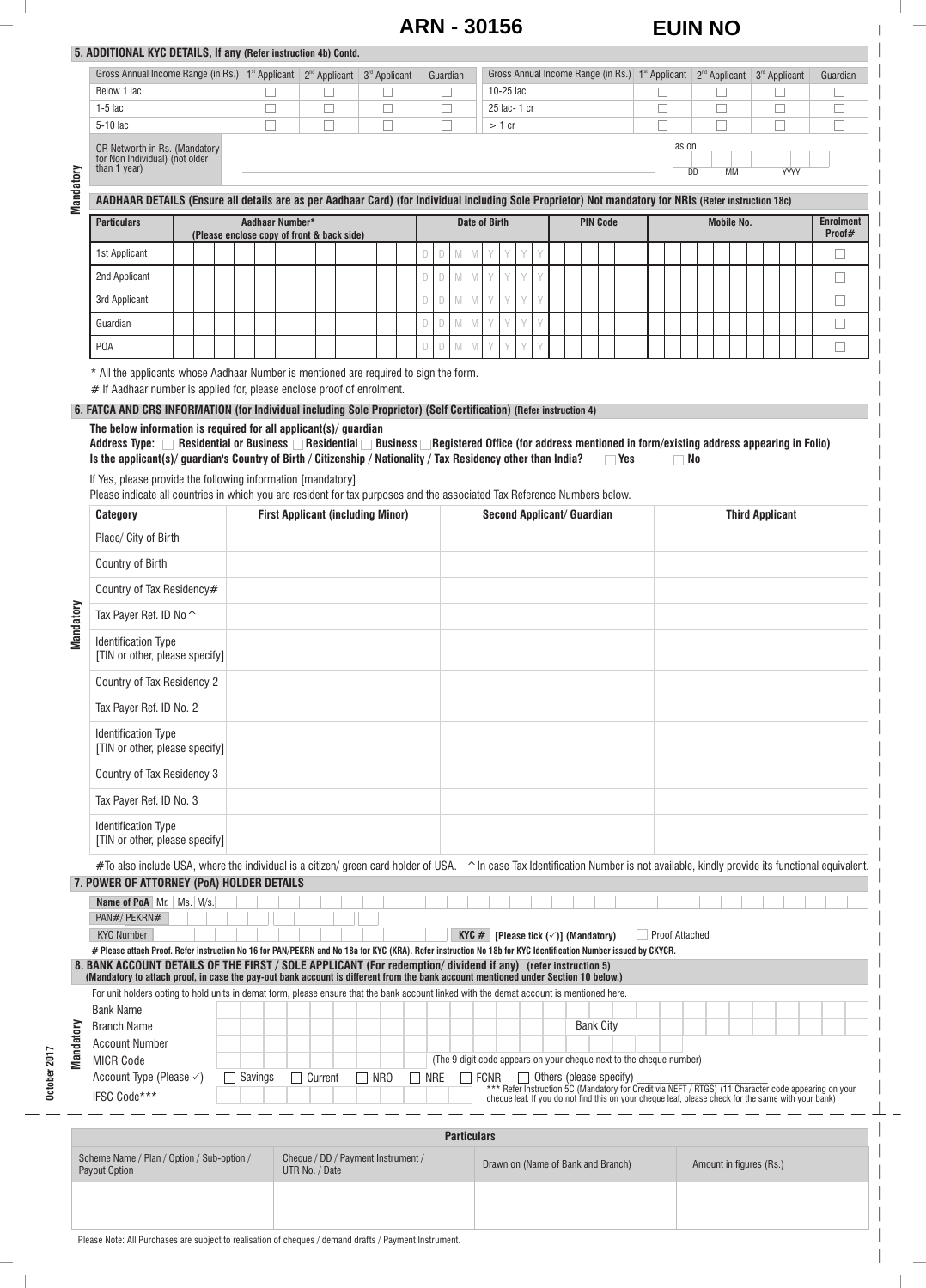## **ARN - 30156 EUIN NO**

 $\mathbb{R}$ 

 $\overline{\phantom{a}}$ 

 $\overline{\phantom{a}}$ 

|           | 5. ADDITIONAL KYC DETAILS, If any (Refer instruction 4b) Contd.                                                                                                                                                                                                                                                                                                                                                                                                                                                                                                                                        |                 |                                            |            |             |                                                                     |   |                      |         |              |  |                                                    |            |   |                       |                            |                                                                                                                  |  |                        |  |                                                                                                                                                                                                          |
|-----------|--------------------------------------------------------------------------------------------------------------------------------------------------------------------------------------------------------------------------------------------------------------------------------------------------------------------------------------------------------------------------------------------------------------------------------------------------------------------------------------------------------------------------------------------------------------------------------------------------------|-----------------|--------------------------------------------|------------|-------------|---------------------------------------------------------------------|---|----------------------|---------|--------------|--|----------------------------------------------------|------------|---|-----------------------|----------------------------|------------------------------------------------------------------------------------------------------------------|--|------------------------|--|----------------------------------------------------------------------------------------------------------------------------------------------------------------------------------------------------------|
|           | Gross Annual Income Range (in Rs.) 1 <sup>st</sup> Applicant 2 <sup>nd</sup> Applicant 3 <sup>rd</sup> Applicant                                                                                                                                                                                                                                                                                                                                                                                                                                                                                       |                 |                                            |            |             | Guardian                                                            |   |                      |         |              |  |                                                    |            |   |                       |                            | Gross Annual Income Range (in Rs.) 1 <sup>st</sup> Applicant 2 <sup>nd</sup> Applicant 3 <sup>rd</sup> Applicant |  |                        |  | Guardian                                                                                                                                                                                                 |
|           | Below 1 lac                                                                                                                                                                                                                                                                                                                                                                                                                                                                                                                                                                                            |                 |                                            |            |             |                                                                     |   |                      |         | 10-25 lac    |  |                                                    |            |   |                       |                            |                                                                                                                  |  |                        |  |                                                                                                                                                                                                          |
|           | $1-5$ lac                                                                                                                                                                                                                                                                                                                                                                                                                                                                                                                                                                                              | П               | П                                          | □          |             | П                                                                   |   |                      |         | 25 lac- 1 cr |  |                                                    |            | П |                       |                            | П                                                                                                                |  | $\Box$                 |  | П                                                                                                                                                                                                        |
|           | 5-10 lac                                                                                                                                                                                                                                                                                                                                                                                                                                                                                                                                                                                               | П               | $\Box$                                     | П          |             | П                                                                   |   |                      | $>1$ cr |              |  |                                                    |            | П |                       |                            | П                                                                                                                |  | П                      |  | П                                                                                                                                                                                                        |
| Mandatory | OR Networth in Rs. (Mandatory<br>for Non Individual) (not older<br>than 1 year)                                                                                                                                                                                                                                                                                                                                                                                                                                                                                                                        |                 |                                            |            |             |                                                                     |   |                      |         |              |  |                                                    |            |   |                       | as on<br>DD                | <b>MM</b>                                                                                                        |  | YYYY                   |  |                                                                                                                                                                                                          |
|           | AADHAAR DETAILS (Ensure all details are as per Aadhaar Card) (for Individual including Sole Proprietor) Not mandatory for NRIs (Refer instruction 18c)                                                                                                                                                                                                                                                                                                                                                                                                                                                 |                 |                                            |            |             |                                                                     |   |                      |         |              |  |                                                    |            |   |                       |                            |                                                                                                                  |  |                        |  |                                                                                                                                                                                                          |
|           | <b>Particulars</b>                                                                                                                                                                                                                                                                                                                                                                                                                                                                                                                                                                                     | Aadhaar Number* | (Please enclose copy of front & back side) |            |             |                                                                     |   | <b>Date of Birth</b> |         |              |  | <b>PIN Code</b>                                    |            |   |                       | <b>Enrolment</b><br>Proof# |                                                                                                                  |  |                        |  |                                                                                                                                                                                                          |
|           | 1st Applicant                                                                                                                                                                                                                                                                                                                                                                                                                                                                                                                                                                                          |                 |                                            |            | $\mathbb D$ | D                                                                   | M | M                    |         |              |  |                                                    |            |   |                       |                            |                                                                                                                  |  |                        |  | $\Box$                                                                                                                                                                                                   |
|           | 2nd Applicant                                                                                                                                                                                                                                                                                                                                                                                                                                                                                                                                                                                          |                 |                                            |            | D           | D                                                                   | M | M                    |         |              |  |                                                    |            |   |                       |                            |                                                                                                                  |  |                        |  | $\Box$                                                                                                                                                                                                   |
|           | 3rd Applicant                                                                                                                                                                                                                                                                                                                                                                                                                                                                                                                                                                                          |                 |                                            |            | D           | D                                                                   | M | M                    |         |              |  |                                                    |            |   |                       |                            |                                                                                                                  |  |                        |  | $\Box$                                                                                                                                                                                                   |
|           | Guardian                                                                                                                                                                                                                                                                                                                                                                                                                                                                                                                                                                                               |                 |                                            |            | D           | D                                                                   | M | M                    |         |              |  |                                                    |            |   |                       |                            |                                                                                                                  |  |                        |  | П                                                                                                                                                                                                        |
|           | <b>POA</b>                                                                                                                                                                                                                                                                                                                                                                                                                                                                                                                                                                                             |                 |                                            |            | $\mathbb D$ | D                                                                   | M | M                    |         |              |  |                                                    |            |   |                       |                            |                                                                                                                  |  |                        |  | □                                                                                                                                                                                                        |
|           |                                                                                                                                                                                                                                                                                                                                                                                                                                                                                                                                                                                                        |                 |                                            |            |             |                                                                     |   |                      |         |              |  |                                                    |            |   |                       |                            |                                                                                                                  |  |                        |  |                                                                                                                                                                                                          |
|           | # If Aadhaar number is applied for, please enclose proof of enrolment.<br>6. FATCA AND CRS INFORMATION (for Individual including Sole Proprietor) (Self Certification) (Refer instruction 4)<br>The below information is required for all applicant(s)/ guardian<br>Address Type: Residential or Business Residential Business Registered Office (for address mentioned in form/existing address appearing in Folio)<br>Is the applicant(s)/ guardian's Country of Birth / Citizenship / Nationality / Tax Residency other than India?<br>If Yes, please provide the following information [mandatory] |                 |                                            |            |             |                                                                     |   |                      |         |              |  |                                                    | $\Box$ Yes |   |                       | $\Box$ No                  |                                                                                                                  |  |                        |  |                                                                                                                                                                                                          |
|           | Please indicate all countries in which you are resident for tax purposes and the associated Tax Reference Numbers below.                                                                                                                                                                                                                                                                                                                                                                                                                                                                               |                 |                                            |            |             |                                                                     |   |                      |         |              |  |                                                    |            |   |                       |                            |                                                                                                                  |  |                        |  |                                                                                                                                                                                                          |
|           | Category                                                                                                                                                                                                                                                                                                                                                                                                                                                                                                                                                                                               |                 | <b>First Applicant (including Minor)</b>   |            |             |                                                                     |   |                      |         |              |  | Second Applicant/ Guardian                         |            |   |                       |                            |                                                                                                                  |  | <b>Third Applicant</b> |  |                                                                                                                                                                                                          |
|           | Place/ City of Birth                                                                                                                                                                                                                                                                                                                                                                                                                                                                                                                                                                                   |                 |                                            |            |             |                                                                     |   |                      |         |              |  |                                                    |            |   |                       |                            |                                                                                                                  |  |                        |  |                                                                                                                                                                                                          |
|           | Country of Birth                                                                                                                                                                                                                                                                                                                                                                                                                                                                                                                                                                                       |                 |                                            |            |             |                                                                     |   |                      |         |              |  |                                                    |            |   |                       |                            |                                                                                                                  |  |                        |  |                                                                                                                                                                                                          |
|           | Country of Tax Residency#                                                                                                                                                                                                                                                                                                                                                                                                                                                                                                                                                                              |                 |                                            |            |             |                                                                     |   |                      |         |              |  |                                                    |            |   |                       |                            |                                                                                                                  |  |                        |  |                                                                                                                                                                                                          |
|           | Tax Payer Ref. ID No ^                                                                                                                                                                                                                                                                                                                                                                                                                                                                                                                                                                                 |                 |                                            |            |             |                                                                     |   |                      |         |              |  |                                                    |            |   |                       |                            |                                                                                                                  |  |                        |  |                                                                                                                                                                                                          |
|           | <b>Identification Type</b><br>[TIN or other, please specify]                                                                                                                                                                                                                                                                                                                                                                                                                                                                                                                                           |                 |                                            |            |             |                                                                     |   |                      |         |              |  |                                                    |            |   |                       |                            |                                                                                                                  |  |                        |  |                                                                                                                                                                                                          |
|           | Country of Tax Residency 2                                                                                                                                                                                                                                                                                                                                                                                                                                                                                                                                                                             |                 |                                            |            |             |                                                                     |   |                      |         |              |  |                                                    |            |   |                       |                            |                                                                                                                  |  |                        |  |                                                                                                                                                                                                          |
|           | Tax Payer Ref. ID No. 2                                                                                                                                                                                                                                                                                                                                                                                                                                                                                                                                                                                |                 |                                            |            |             |                                                                     |   |                      |         |              |  |                                                    |            |   |                       |                            |                                                                                                                  |  |                        |  |                                                                                                                                                                                                          |
|           | <b>Identification Type</b><br>[TIN or other, please specify]                                                                                                                                                                                                                                                                                                                                                                                                                                                                                                                                           |                 |                                            |            |             |                                                                     |   |                      |         |              |  |                                                    |            |   |                       |                            |                                                                                                                  |  |                        |  |                                                                                                                                                                                                          |
|           | Country of Tax Residency 3                                                                                                                                                                                                                                                                                                                                                                                                                                                                                                                                                                             |                 |                                            |            |             |                                                                     |   |                      |         |              |  |                                                    |            |   |                       |                            |                                                                                                                  |  |                        |  |                                                                                                                                                                                                          |
|           | Tax Payer Ref. ID No. 3                                                                                                                                                                                                                                                                                                                                                                                                                                                                                                                                                                                |                 |                                            |            |             |                                                                     |   |                      |         |              |  |                                                    |            |   |                       |                            |                                                                                                                  |  |                        |  |                                                                                                                                                                                                          |
|           | <b>Identification Type</b><br>[TIN or other, please specify]                                                                                                                                                                                                                                                                                                                                                                                                                                                                                                                                           |                 |                                            |            |             |                                                                     |   |                      |         |              |  |                                                    |            |   |                       |                            |                                                                                                                  |  |                        |  |                                                                                                                                                                                                          |
|           | #To also include USA, where the individual is a citizen/ green card holder of USA. ^ In case Tax Identification Number is not available, kindly provide its functional equivalent.                                                                                                                                                                                                                                                                                                                                                                                                                     |                 |                                            |            |             |                                                                     |   |                      |         |              |  |                                                    |            |   |                       |                            |                                                                                                                  |  |                        |  |                                                                                                                                                                                                          |
|           | 7. POWER OF ATTORNEY (PoA) HOLDER DETAILS                                                                                                                                                                                                                                                                                                                                                                                                                                                                                                                                                              |                 |                                            |            |             |                                                                     |   |                      |         |              |  |                                                    |            |   |                       |                            |                                                                                                                  |  |                        |  |                                                                                                                                                                                                          |
|           | <b>Name of PoA</b> Mr.   Ms.   M/s.<br>PAN#/ PEKRN#                                                                                                                                                                                                                                                                                                                                                                                                                                                                                                                                                    |                 |                                            |            |             |                                                                     |   |                      |         |              |  |                                                    |            |   | <b>Proof Attached</b> |                            |                                                                                                                  |  |                        |  |                                                                                                                                                                                                          |
|           | <b>KYC Number</b><br># Please attach Proof. Refer instruction No 16 for PAN/PEKRN and No 18a for KYC (KRA). Refer instruction No 18b for KYC Identification Number issued by CKYCR.                                                                                                                                                                                                                                                                                                                                                                                                                    |                 |                                            |            |             |                                                                     |   | $KYC \#$             |         |              |  | [Please tick $(\check{\phantom{a}})$ ] (Mandatory) |            |   |                       |                            |                                                                                                                  |  |                        |  |                                                                                                                                                                                                          |
|           | 8. BANK ACCOUNT DETAILS OF THE FIRST / SOLE APPLICANT (For redemption/ dividend if any) (refer instruction 5)<br>(Mandatory to attach proof, in case the pay-out bank account is different from the bank account mentioned under Section 10 below.)<br>For unit holders opting to hold units in demat form, please ensure that the bank account linked with the demat account is mentioned here.                                                                                                                                                                                                       |                 |                                            |            |             |                                                                     |   |                      |         |              |  |                                                    |            |   |                       |                            |                                                                                                                  |  |                        |  |                                                                                                                                                                                                          |
|           | <b>Bank Name</b>                                                                                                                                                                                                                                                                                                                                                                                                                                                                                                                                                                                       |                 |                                            |            |             |                                                                     |   |                      |         |              |  |                                                    |            |   |                       |                            |                                                                                                                  |  |                        |  |                                                                                                                                                                                                          |
|           | <b>Branch Name</b>                                                                                                                                                                                                                                                                                                                                                                                                                                                                                                                                                                                     |                 |                                            |            |             |                                                                     |   |                      |         |              |  | <b>Bank City</b>                                   |            |   |                       |                            |                                                                                                                  |  |                        |  |                                                                                                                                                                                                          |
| Mandatory | <b>Account Number</b>                                                                                                                                                                                                                                                                                                                                                                                                                                                                                                                                                                                  |                 |                                            |            |             |                                                                     |   |                      |         |              |  |                                                    |            |   |                       |                            |                                                                                                                  |  |                        |  |                                                                                                                                                                                                          |
|           | <b>MICR Code</b>                                                                                                                                                                                                                                                                                                                                                                                                                                                                                                                                                                                       |                 |                                            |            |             | (The 9 digit code appears on your cheque next to the cheque number) |   |                      |         |              |  |                                                    |            |   |                       |                            |                                                                                                                  |  |                        |  |                                                                                                                                                                                                          |
|           | Account Type (Please $\checkmark$ )<br>$\mathsf{L}$                                                                                                                                                                                                                                                                                                                                                                                                                                                                                                                                                    | Savings         | $\Box$ Current                             | $\Box$ NRO | $\Box$ NRE  |                                                                     |   | $\Box$ FCNR          |         |              |  | $\Box$ Others (please specify)                     |            |   |                       |                            |                                                                                                                  |  |                        |  |                                                                                                                                                                                                          |
|           | IFSC Code***                                                                                                                                                                                                                                                                                                                                                                                                                                                                                                                                                                                           |                 |                                            |            |             |                                                                     |   |                      |         |              |  |                                                    |            |   |                       |                            |                                                                                                                  |  |                        |  | *** Refer Instruction SC (Mandatory for Credit via NEFT / RTGS) (11 Character code appearing on your cheque leaf. If you do not find this on your cheque leaf, please check for the same with your bank) |
|           |                                                                                                                                                                                                                                                                                                                                                                                                                                                                                                                                                                                                        |                 |                                            |            |             |                                                                     |   | <b>Particulars</b>   |         |              |  |                                                    |            |   |                       |                            |                                                                                                                  |  |                        |  |                                                                                                                                                                                                          |
|           | Scheme Name / Plan / Option / Sub-option /                                                                                                                                                                                                                                                                                                                                                                                                                                                                                                                                                             |                 | Cheque / DD / Payment Instrument /         |            |             |                                                                     |   |                      |         |              |  | Drawn on (Name of Bank and Branch)                 |            |   |                       |                            | Amount in figures (Rs.)                                                                                          |  |                        |  |                                                                                                                                                                                                          |
|           | Payout Option                                                                                                                                                                                                                                                                                                                                                                                                                                                                                                                                                                                          |                 | UTR No. / Date                             |            |             |                                                                     |   |                      |         |              |  |                                                    |            |   |                       |                            |                                                                                                                  |  |                        |  |                                                                                                                                                                                                          |
|           |                                                                                                                                                                                                                                                                                                                                                                                                                                                                                                                                                                                                        |                 |                                            |            |             |                                                                     |   |                      |         |              |  |                                                    |            |   |                       |                            |                                                                                                                  |  |                        |  |                                                                                                                                                                                                          |

Please Note: All Purchases are subject to realisation of cheques / demand drafts / Payment Instrument.

**October 2017**

 $\Box$ 

Ō,

 $\overline{\phantom{a}}$